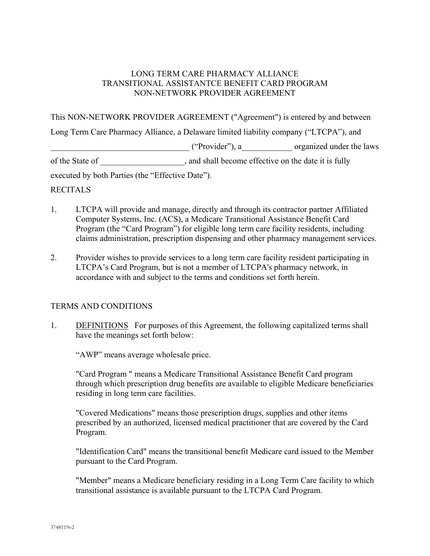### LONG TERM CARE PHARMACY ALLIANCE TRANSITIONAL ASSISTANTCE BENEFIT CARD PROGRAM NON-NETWORK PROVIDER AGREEMENT

This NON-NETWORK PROVIDER AGREEMENT ("Agreement") is entered by and between

Long Term Care Pharmacy Alliance, a Delaware limited liability company ("LTCPA"), and

 $("Provider"), a$  organized under the laws

of the State of  $\Box$ , and shall become effective on the date it is fully

executed by both Parties (the "Effective Date").

#### RECITALS

- 1. LTCPA will provide and manage, directly and through its contractor partner Affiliated Computer Systems, Inc. (ACS), a Medicare Transitional Assistance Benefit Card Program (the "Card Program") for eligible long term care facility residents, including claims administration, prescription dispensing and other pharmacy management services.
- 2. Provider wishes to provide services to a long term care facility resident participating in LTCPA's Card Program, but is not a member of LTCPA's pharmacy network, in accordance with and subject to the terms and conditions set forth herein.

# TERMS AND CONDITIONS

1. DEFINITIONS For purposes of this Agreement, the following capitalized terms shall have the meanings set forth below:

"AWP" means average wholesale price.

 "Card Program " means a Medicare Transitional Assistance Benefit Card program through which prescription drug benefits are available to eligible Medicare beneficiaries residing in long term care facilities.

 "Covered Medications" means those prescription drugs, supplies and other items prescribed by an authorized, licensed medical practitioner that are covered by the Card Program.

 "Identification Card" means the transitional benefit Medicare card issued to the Member pursuant to the Card Program.

 "Member" means a Medicare beneficiary residing in a Long Term Care facility to which transitional assistance is available pursuant to the LTCPA Card Program.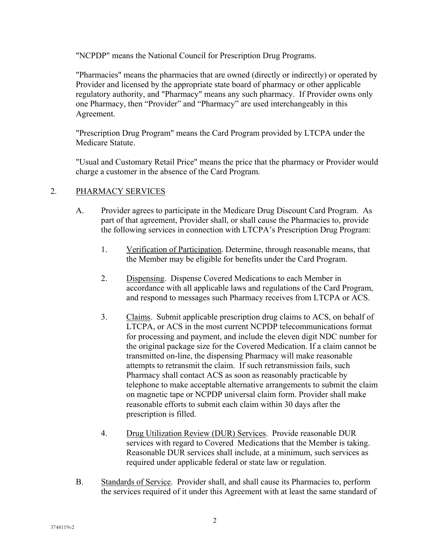"NCPDP" means the National Council for Prescription Drug Programs.

 "Pharmacies" means the pharmacies that are owned (directly or indirectly) or operated by Provider and licensed by the appropriate state board of pharmacy or other applicable regulatory authority, and "Pharmacy" means any such pharmacy. If Provider owns only one Pharmacy, then "Provider" and "Pharmacy" are used interchangeably in this Agreement.

 "Prescription Drug Program" means the Card Program provided by LTCPA under the Medicare Statute.

 "Usual and Customary Retail Price" means the price that the pharmacy or Provider would charge a customer in the absence of the Card Program.

# 2. PHARMACY SERVICES

- A. Provider agrees to participate in the Medicare Drug Discount Card Program. As part of that agreement, Provider shall, or shall cause the Pharmacies to, provide the following services in connection with LTCPA's Prescription Drug Program:
	- 1. Verification of Participation. Determine, through reasonable means, that the Member may be eligible for benefits under the Card Program.
	- 2. Dispensing. Dispense Covered Medications to each Member in accordance with all applicable laws and regulations of the Card Program, and respond to messages such Pharmacy receives from LTCPA or ACS.
	- 3. Claims. Submit applicable prescription drug claims to ACS, on behalf of LTCPA, or ACS in the most current NCPDP telecommunications format for processing and payment, and include the eleven digit NDC number for the original package size for the Covered Medication. If a claim cannot be transmitted on-line, the dispensing Pharmacy will make reasonable attempts to retransmit the claim. If such retransmission fails, such Pharmacy shall contact ACS as soon as reasonably practicable by telephone to make acceptable alternative arrangements to submit the claim on magnetic tape or NCPDP universal claim form. Provider shall make reasonable efforts to submit each claim within 30 days after the prescription is filled.
	- 4. Drug Utilization Review (DUR) Services. Provide reasonable DUR services with regard to Covered Medications that the Member is taking. Reasonable DUR services shall include, at a minimum, such services as required under applicable federal or state law or regulation.
- B. Standards of Service. Provider shall, and shall cause its Pharmacies to, perform the services required of it under this Agreement with at least the same standard of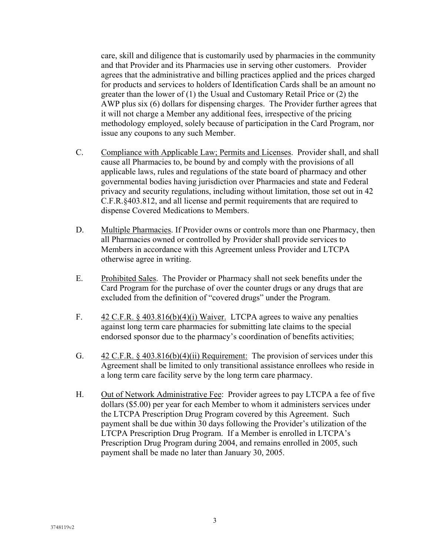care, skill and diligence that is customarily used by pharmacies in the community and that Provider and its Pharmacies use in serving other customers. Provider agrees that the administrative and billing practices applied and the prices charged for products and services to holders of Identification Cards shall be an amount no greater than the lower of (1) the Usual and Customary Retail Price or (2) the AWP plus six (6) dollars for dispensing charges. The Provider further agrees that it will not charge a Member any additional fees, irrespective of the pricing methodology employed, solely because of participation in the Card Program, nor issue any coupons to any such Member.

- C. Compliance with Applicable Law; Permits and Licenses. Provider shall, and shall cause all Pharmacies to, be bound by and comply with the provisions of all applicable laws, rules and regulations of the state board of pharmacy and other governmental bodies having jurisdiction over Pharmacies and state and Federal privacy and security regulations, including without limitation, those set out in 42 C.F.R.§403.812, and all license and permit requirements that are required to dispense Covered Medications to Members.
- D. Multiple Pharmacies. If Provider owns or controls more than one Pharmacy, then all Pharmacies owned or controlled by Provider shall provide services to Members in accordance with this Agreement unless Provider and LTCPA otherwise agree in writing.
- E. Prohibited Sales. The Provider or Pharmacy shall not seek benefits under the Card Program for the purchase of over the counter drugs or any drugs that are excluded from the definition of "covered drugs" under the Program.
- F. 42 C.F.R. § 403.816(b)(4)(i) Waiver. LTCPA agrees to waive any penalties against long term care pharmacies for submitting late claims to the special endorsed sponsor due to the pharmacy's coordination of benefits activities;
- G.  $\frac{42 \text{ C.F.R. } }{42 \text{ C.F.R. } }$  403.816(b)(4)(ii) Requirement: The provision of services under this Agreement shall be limited to only transitional assistance enrollees who reside in a long term care facility serve by the long term care pharmacy.
- H. Out of Network Administrative Fee: Provider agrees to pay LTCPA a fee of five dollars (\$5.00) per year for each Member to whom it administers services under the LTCPA Prescription Drug Program covered by this Agreement. Such payment shall be due within 30 days following the Provider's utilization of the LTCPA Prescription Drug Program. If a Member is enrolled in LTCPA's Prescription Drug Program during 2004, and remains enrolled in 2005, such payment shall be made no later than January 30, 2005.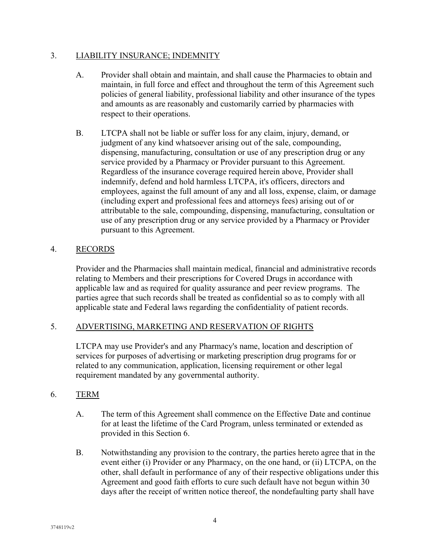### 3. LIABILITY INSURANCE; INDEMNITY

- A. Provider shall obtain and maintain, and shall cause the Pharmacies to obtain and maintain, in full force and effect and throughout the term of this Agreement such policies of general liability, professional liability and other insurance of the types and amounts as are reasonably and customarily carried by pharmacies with respect to their operations.
- B. LTCPA shall not be liable or suffer loss for any claim, injury, demand, or judgment of any kind whatsoever arising out of the sale, compounding, dispensing, manufacturing, consultation or use of any prescription drug or any service provided by a Pharmacy or Provider pursuant to this Agreement. Regardless of the insurance coverage required herein above, Provider shall indemnify, defend and hold harmless LTCPA, it's officers, directors and employees, against the full amount of any and all loss, expense, claim, or damage (including expert and professional fees and attorneys fees) arising out of or attributable to the sale, compounding, dispensing, manufacturing, consultation or use of any prescription drug or any service provided by a Pharmacy or Provider pursuant to this Agreement.

### 4. RECORDS

 Provider and the Pharmacies shall maintain medical, financial and administrative records relating to Members and their prescriptions for Covered Drugs in accordance with applicable law and as required for quality assurance and peer review programs. The parties agree that such records shall be treated as confidential so as to comply with all applicable state and Federal laws regarding the confidentiality of patient records.

# 5. ADVERTISING, MARKETING AND RESERVATION OF RIGHTS

 LTCPA may use Provider's and any Pharmacy's name, location and description of services for purposes of advertising or marketing prescription drug programs for or related to any communication, application, licensing requirement or other legal requirement mandated by any governmental authority.

#### 6. TERM

- A. The term of this Agreement shall commence on the Effective Date and continue for at least the lifetime of the Card Program, unless terminated or extended as provided in this Section 6.
- B. Notwithstanding any provision to the contrary, the parties hereto agree that in the event either (i) Provider or any Pharmacy, on the one hand, or (ii) LTCPA, on the other, shall default in performance of any of their respective obligations under this Agreement and good faith efforts to cure such default have not begun within 30 days after the receipt of written notice thereof, the nondefaulting party shall have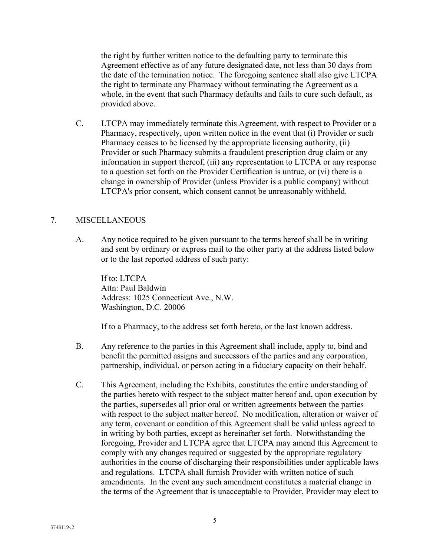the right by further written notice to the defaulting party to terminate this Agreement effective as of any future designated date, not less than 30 days from the date of the termination notice. The foregoing sentence shall also give LTCPA the right to terminate any Pharmacy without terminating the Agreement as a whole, in the event that such Pharmacy defaults and fails to cure such default, as provided above.

 C. LTCPA may immediately terminate this Agreement, with respect to Provider or a Pharmacy, respectively, upon written notice in the event that (i) Provider or such Pharmacy ceases to be licensed by the appropriate licensing authority, (ii) Provider or such Pharmacy submits a fraudulent prescription drug claim or any information in support thereof, (iii) any representation to LTCPA or any response to a question set forth on the Provider Certification is untrue, or (vi) there is a change in ownership of Provider (unless Provider is a public company) without LTCPA's prior consent, which consent cannot be unreasonably withheld.

# 7. MISCELLANEOUS

 A. Any notice required to be given pursuant to the terms hereof shall be in writing and sent by ordinary or express mail to the other party at the address listed below or to the last reported address of such party:

 If to: LTCPA Attn: Paul Baldwin Address: 1025 Connecticut Ave., N.W. Washington, D.C. 20006

If to a Pharmacy, to the address set forth hereto, or the last known address.

- B. Any reference to the parties in this Agreement shall include, apply to, bind and benefit the permitted assigns and successors of the parties and any corporation, partnership, individual, or person acting in a fiduciary capacity on their behalf.
- C. This Agreement, including the Exhibits, constitutes the entire understanding of the parties hereto with respect to the subject matter hereof and, upon execution by the parties, supersedes all prior oral or written agreements between the parties with respect to the subject matter hereof. No modification, alteration or waiver of any term, covenant or condition of this Agreement shall be valid unless agreed to in writing by both parties, except as hereinafter set forth. Notwithstanding the foregoing, Provider and LTCPA agree that LTCPA may amend this Agreement to comply with any changes required or suggested by the appropriate regulatory authorities in the course of discharging their responsibilities under applicable laws and regulations. LTCPA shall furnish Provider with written notice of such amendments. In the event any such amendment constitutes a material change in the terms of the Agreement that is unacceptable to Provider, Provider may elect to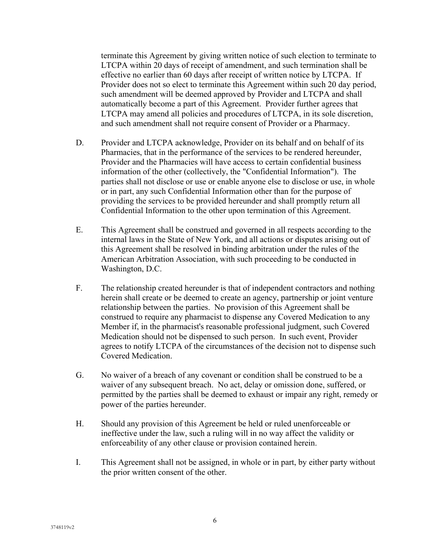terminate this Agreement by giving written notice of such election to terminate to LTCPA within 20 days of receipt of amendment, and such termination shall be effective no earlier than 60 days after receipt of written notice by LTCPA. If Provider does not so elect to terminate this Agreement within such 20 day period, such amendment will be deemed approved by Provider and LTCPA and shall automatically become a part of this Agreement. Provider further agrees that LTCPA may amend all policies and procedures of LTCPA, in its sole discretion, and such amendment shall not require consent of Provider or a Pharmacy.

- D. Provider and LTCPA acknowledge, Provider on its behalf and on behalf of its Pharmacies, that in the performance of the services to be rendered hereunder, Provider and the Pharmacies will have access to certain confidential business information of the other (collectively, the "Confidential Information"). The parties shall not disclose or use or enable anyone else to disclose or use, in whole or in part, any such Confidential Information other than for the purpose of providing the services to be provided hereunder and shall promptly return all Confidential Information to the other upon termination of this Agreement.
- E. This Agreement shall be construed and governed in all respects according to the internal laws in the State of New York, and all actions or disputes arising out of this Agreement shall be resolved in binding arbitration under the rules of the American Arbitration Association, with such proceeding to be conducted in Washington, D.C.
- F. The relationship created hereunder is that of independent contractors and nothing herein shall create or be deemed to create an agency, partnership or joint venture relationship between the parties. No provision of this Agreement shall be construed to require any pharmacist to dispense any Covered Medication to any Member if, in the pharmacist's reasonable professional judgment, such Covered Medication should not be dispensed to such person. In such event, Provider agrees to notify LTCPA of the circumstances of the decision not to dispense such Covered Medication.
- G. No waiver of a breach of any covenant or condition shall be construed to be a waiver of any subsequent breach. No act, delay or omission done, suffered, or permitted by the parties shall be deemed to exhaust or impair any right, remedy or power of the parties hereunder.
- H. Should any provision of this Agreement be held or ruled unenforceable or ineffective under the law, such a ruling will in no way affect the validity or enforceability of any other clause or provision contained herein.
- I. This Agreement shall not be assigned, in whole or in part, by either party without the prior written consent of the other.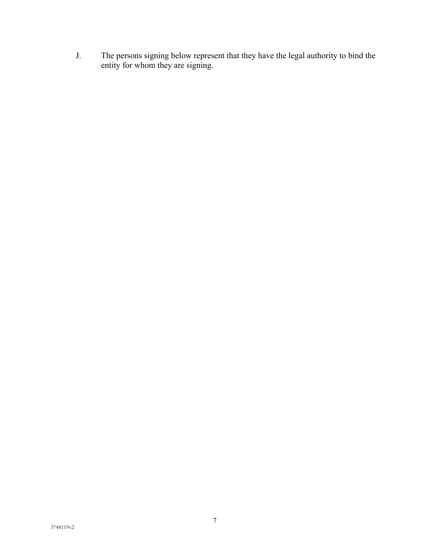J. The persons signing below represent that they have the legal authority to bind the entity for whom they are signing.